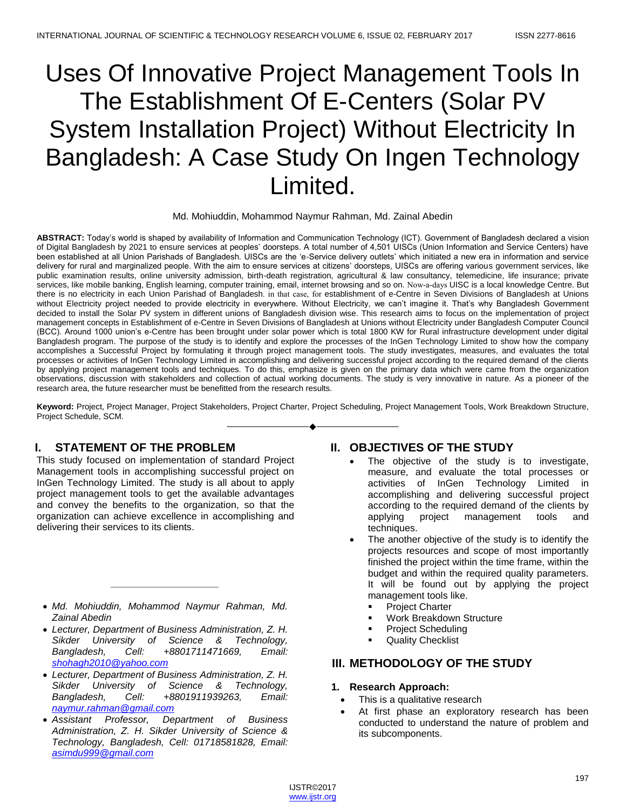# Uses Of Innovative Project Management Tools In The Establishment Of E-Centers (Solar PV System Installation Project) Without Electricity In Bangladesh: A Case Study On Ingen Technology Limited.

#### Md. Mohiuddin, Mohammod Naymur Rahman, Md. Zainal Abedin

**ABSTRACT:** Today's world is shaped by availability of Information and Communication Technology (ICT). Government of Bangladesh declared a vision of Digital Bangladesh by 2021 to ensure services at peoples' doorsteps. A total number of 4,501 UISCs (Union Information and Service Centers) have been established at all Union Parishads of Bangladesh. UISCs are the 'e-Service delivery outlets' which initiated a new era in information and service delivery for rural and marginalized people. With the aim to ensure services at citizens' doorsteps, UISCs are offering various government services, like public examination results, online university admission, birth-death registration, agricultural & law consultancy, telemedicine, life insurance; private services, like mobile banking, English learning, computer training, email, internet browsing and so on. Now-a-days UISC is a local knowledge Centre. But there is no electricity in each Union Parishad of Bangladesh. in that case, for establishment of e-Centre in Seven Divisions of Bangladesh at Unions without Electricity project needed to provide electricity in everywhere. Without Electricity, we can't imagine it. That's why Bangladesh Government decided to install the Solar PV system in different unions of Bangladesh division wise. This research aims to focus on the implementation of project management concepts in Establishment of e-Centre in Seven Divisions of Bangladesh at Unions without Electricity under Bangladesh Computer Council (BCC). Around 1000 union's e-Centre has been brought under solar power which is total 1800 KW for Rural infrastructure development under digital Bangladesh program. The purpose of the study is to identify and explore the processes of the InGen Technology Limited to show how the company accomplishes a Successful Project by formulating it through project management tools. The study investigates, measures, and evaluates the total processes or activities of InGen Technology Limited in accomplishing and delivering successful project according to the required demand of the clients by applying project management tools and techniques. To do this, emphasize is given on the primary data which were came from the organization observations, discussion with stakeholders and collection of actual working documents. The study is very innovative in nature. As a pioneer of the research area, the future researcher must be benefitted from the research results.

**Keyword:** Project, Project Manager, Project Stakeholders, Project Charter, Project Scheduling, Project Management Tools, Work Breakdown Structure, Project Schedule, SCM. ————————————————————

## **I. STATEMENT OF THE PROBLEM**

This study focused on implementation of standard Project Management tools in accomplishing successful project on InGen Technology Limited. The study is all about to apply project management tools to get the available advantages and convey the benefits to the organization, so that the organization can achieve excellence in accomplishing and delivering their services to its clients.

 *Md. Mohiuddin, Mohammod Naymur Rahman, Md. Zainal Abedin*

*\_\_\_\_\_\_\_\_\_\_\_\_\_\_\_\_\_\_\_\_*

- *Lecturer, Department of Business Administration, Z. H. Sikder University of Science & Technology, Bangladesh, Cell: +8801711471669, Email: shohagh2010@yahoo.com*
- *Lecturer, Department of Business Administration, Z. H. Sikder University of Science & Technology, Bangladesh, Cell: +8801911939263, Email: naymur.rahman@gmail.com*
- *Assistant Professor, Department of Business Administration, Z. H. Sikder University of Science & Technology, Bangladesh, Cell: 01718581828, Email: asimdu999@gmail.com*

## **II. OBJECTIVES OF THE STUDY**

- The objective of the study is to investigate, measure, and evaluate the total processes or activities of InGen Technology Limited in accomplishing and delivering successful project according to the required demand of the clients by applying project management tools and techniques.
- The another objective of the study is to identify the projects resources and scope of most importantly finished the project within the time frame, within the budget and within the required quality parameters. It will be found out by applying the project management tools like.
	- Project Charter
	- Work Breakdown Structure
	- Project Scheduling
	- Quality Checklist

# **III. METHODOLOGY OF THE STUDY**

## **1. Research Approach:**

- This is a qualitative research
- At first phase an exploratory research has been conducted to understand the nature of problem and its subcomponents.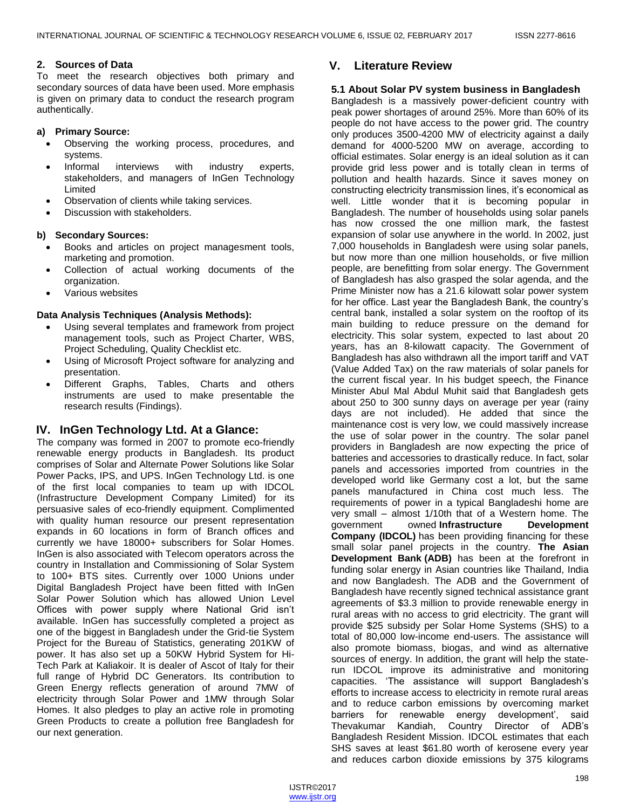## **2. Sources of Data**

To meet the research objectives both primary and secondary sources of data have been used. More emphasis is given on primary data to conduct the research program authentically.

## **a) Primary Source:**

- Observing the working process, procedures, and systems.
- Informal interviews with industry experts, stakeholders, and managers of InGen Technology Limited
- Observation of clients while taking services.
- Discussion with stakeholders.

## **b) Secondary Sources:**

- Books and articles on project managesment tools, marketing and promotion.
- Collection of actual working documents of the organization.
- Various websites

## **Data Analysis Techniques (Analysis Methods):**

- Using several templates and framework from project management tools, such as Project Charter, WBS, Project Scheduling, Quality Checklist etc.
- Using of Microsoft Project software for analyzing and presentation.
- Different Graphs, Tables, Charts and others instruments are used to make presentable the research results (Findings).

# **IV. InGen Technology Ltd. At a Glance:**

The company was formed in 2007 to promote eco-friendly renewable energy products in Bangladesh. Its product comprises of Solar and Alternate Power Solutions like Solar Power Packs, IPS, and UPS. InGen Technology Ltd. is one of the first local companies to team up with IDCOL (Infrastructure Development Company Limited) for its persuasive sales of eco-friendly equipment. Complimented with quality human resource our present representation expands in 60 locations in form of Branch offices and currently we have 18000+ subscribers for Solar Homes. InGen is also associated with Telecom operators across the country in Installation and Commissioning of Solar System to 100+ BTS sites. Currently over 1000 Unions under Digital Bangladesh Project have been fitted with InGen Solar Power Solution which has allowed Union Level Offices with power supply where National Grid isn't available. InGen has successfully completed a project as one of the biggest in Bangladesh under the Grid-tie System Project for the Bureau of Statistics, generating 201KW of power. It has also set up a 50KW Hybrid System for Hi-Tech Park at Kaliakoir. It is dealer of Ascot of Italy for their full range of Hybrid DC Generators. Its contribution to Green Energy reflects generation of around 7MW of electricity through Solar Power and 1MW through Solar Homes. It also pledges to play an active role in promoting Green Products to create a pollution free Bangladesh for our next generation.

# **V. Literature Review**

## **5.1 About Solar PV system business in Bangladesh**

Bangladesh is a massively power-deficient country with peak power shortages of around 25%. More than 60% of its people do not have access to the power grid. The country only produces 3500-4200 MW of electricity against a daily demand for 4000-5200 MW on average, according to official estimates. Solar energy is an ideal solution as it can provide grid less power and is totally clean in terms of pollution and health hazards. Since it saves money on constructing electricity transmission lines, it's economical as well. Little wonder that it is becoming popular in Bangladesh. The number of households using solar panels has now crossed the one million mark, the fastest expansion of solar use anywhere in the world. In 2002, just 7,000 households in Bangladesh were using solar panels, but now more than one million households, or five million people, are benefitting from solar energy. The Government of Bangladesh has also grasped the solar agenda, and the Prime Minister now has a 21.6 kilowatt solar power system for her office. Last year the Bangladesh Bank, the country's central bank, installed a solar system on the rooftop of its main building to reduce pressure on the demand for electricity. This solar system, expected to last about 20 years, has an 8-kilowatt capacity. The Government of Bangladesh has also withdrawn all the import tariff and VAT (Value Added Tax) on the raw materials of solar panels for the current fiscal year. In his budget speech, the Finance Minister Abul Mal Abdul Muhit said that Bangladesh gets about 250 to 300 sunny days on average per year (rainy days are not included). He added that since the maintenance cost is very low, we could massively increase the use of solar power in the country. The solar panel providers in Bangladesh are now expecting the price of batteries and accessories to drastically reduce. In fact, solar panels and accessories imported from countries in the developed world like Germany cost a lot, but the same panels manufactured in China cost much less. The requirements of power in a typical Bangladeshi home are very small – almost 1/10th that of a Western home. The government owned **[Infrastructure Development](http://www.idcol.org/)  [Company \(IDCOL\)](http://www.idcol.org/)** has been providing financing for these small solar panel projects in the country. **[The Asian](http://cdkn.org/2011/07/explosion-of-solar-power-in-bangladesh/www.adb.org)  [Development Bank](http://cdkn.org/2011/07/explosion-of-solar-power-in-bangladesh/www.adb.org) (ADB)** has been at the forefront in funding solar energy in Asian countries like Thailand, India and now Bangladesh. The ADB and the Government of Bangladesh have recently signed technical assistance grant agreements of \$3.3 million to provide renewable energy in rural areas with no access to grid electricity. The grant will provide \$25 subsidy per Solar Home Systems (SHS) to a total of 80,000 low-income end-users. The assistance will also promote biomass, biogas, and wind as alternative sources of energy. In addition, the grant will help the staterun IDCOL improve its administrative and monitoring capacities. ‗The assistance will support Bangladesh's efforts to increase access to electricity in remote rural areas and to reduce carbon emissions by overcoming market barriers for renewable energy development', said Thevakumar Kandiah, Country Director of ADB's Bangladesh Resident Mission. IDCOL estimates that each SHS saves at least \$61.80 worth of kerosene every year and reduces carbon dioxide emissions by 375 kilograms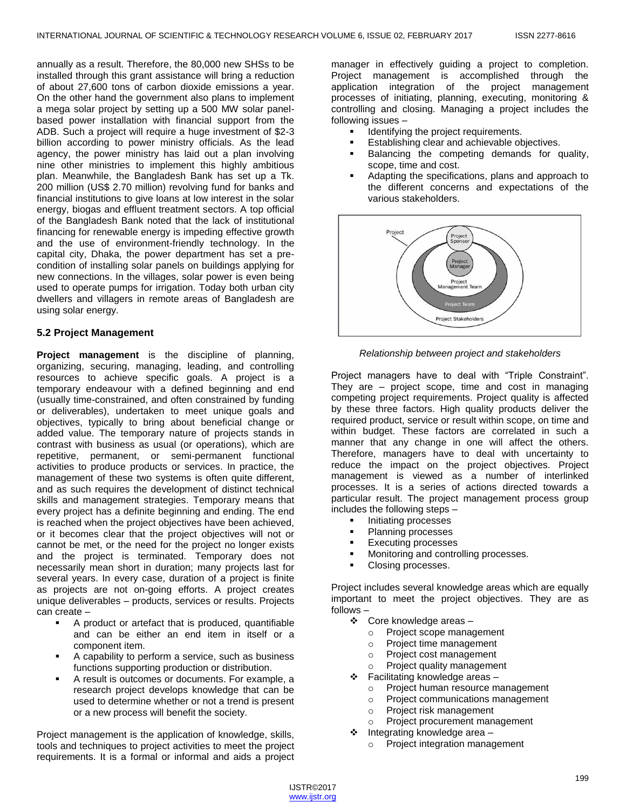annually as a result. Therefore, the 80,000 new SHSs to be installed through this grant assistance will bring a reduction of about 27,600 tons of carbon dioxide emissions a year. On the other hand the government also plans to implement a mega solar project by setting up a 500 MW solar panelbased power installation with financial support from the ADB. Such a project will require a huge investment of \$2-3 billion according to power ministry officials. As the lead agency, the power ministry has laid out a plan involving nine other ministries to implement this highly ambitious plan. Meanwhile, the Bangladesh Bank has set up a Tk. 200 million (US\$ 2.70 million) revolving fund for banks and financial institutions to give loans at low interest in the solar energy, biogas and effluent treatment sectors. A top official of the Bangladesh Bank noted that the lack of institutional financing for renewable energy is impeding effective growth and the use of environment-friendly technology. In the capital city, Dhaka, the power department has set a precondition of installing solar panels on buildings applying for new connections. In the villages, solar power is even being used to operate pumps for irrigation. Today both urban city dwellers and villagers in remote areas of Bangladesh are using solar energy.

## **5.2 Project Management**

**Project management** is the discipline of planning, organizing, securing, managing, leading, and controlling resources to achieve specific goals. A project is a temporary endeavour with a defined beginning and end (usually time-constrained, and often constrained by funding or deliverables), undertaken to meet unique goals and objectives, typically to bring about beneficial change or added value. The temporary nature of projects stands in contrast with business as usual (or operations), which are repetitive, permanent, or semi-permanent functional activities to produce products or services. In practice, the management of these two systems is often quite different, and as such requires the development of distinct technical skills and management strategies. Temporary means that every project has a definite beginning and ending. The end is reached when the project objectives have been achieved, or it becomes clear that the project objectives will not or cannot be met, or the need for the project no longer exists and the project is terminated. Temporary does not necessarily mean short in duration; many projects last for several years. In every case, duration of a project is finite as projects are not on-going efforts. A project creates unique deliverables – products, services or results. Projects can create –

- A product or artefact that is produced, quantifiable and can be either an end item in itself or a component item.
- A capability to perform a service, such as business functions supporting production or distribution.
- A result is outcomes or documents. For example, a research project develops knowledge that can be used to determine whether or not a trend is present or a new process will benefit the society.

Project management is the application of knowledge, skills, tools and techniques to project activities to meet the project requirements. It is a formal or informal and aids a project manager in effectively guiding a project to completion. Project management is accomplished through the application integration of the project management processes of initiating, planning, executing, monitoring & controlling and closing. Managing a project includes the following issues –

- **IDENTIFY** Identifying the project requirements.
- Establishing clear and achievable objectives.
- Balancing the competing demands for quality, scope, time and cost.
- Adapting the specifications, plans and approach to the different concerns and expectations of the various stakeholders.



*Relationship between project and stakeholders*

Project managers have to deal with "Triple Constraint". They are – project scope, time and cost in managing competing project requirements. Project quality is affected by these three factors. High quality products deliver the required product, service or result within scope, on time and within budget. These factors are correlated in such a manner that any change in one will affect the others. Therefore, managers have to deal with uncertainty to reduce the impact on the project objectives. Project management is viewed as a number of interlinked processes. It is a series of actions directed towards a particular result. The project management process group includes the following steps –

- Initiating processes
- Planning processes
- Executing processes
- Monitoring and controlling processes.
- Closing processes.

Project includes several knowledge areas which are equally important to meet the project objectives. They are as follows –

- Core knowledge areas
	- o Project scope management
	- o Project time management
	- o Project cost management
	- o Project quality management
- $\div$  Facilitating knowledge areas
	- o Project human resource management
	- o Project communications management
	- o Project risk management
	- o Project procurement management
- $\div$  Integrating knowledge area
	- o Project integration management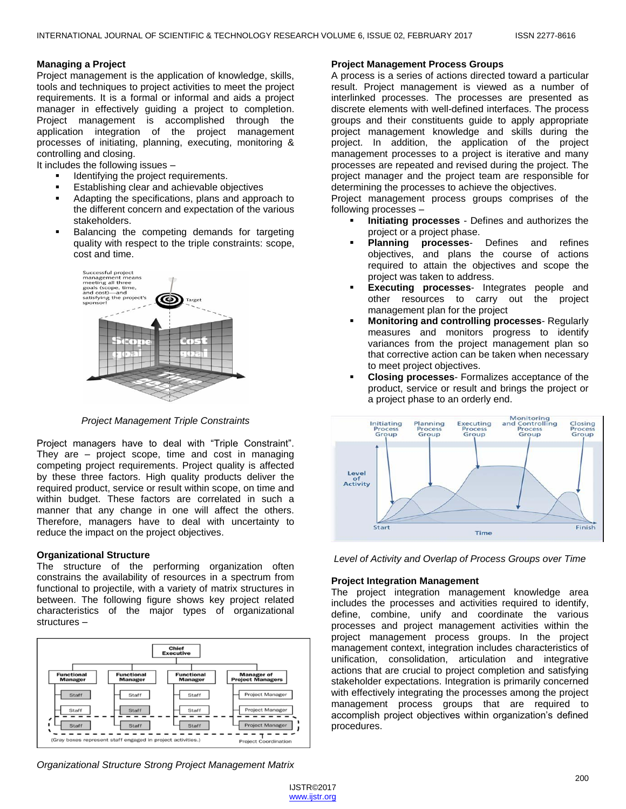## **Managing a Project**

Project management is the application of knowledge, skills, tools and techniques to project activities to meet the project requirements. It is a formal or informal and aids a project manager in effectively guiding a project to completion. Project management is accomplished through the application integration of the project management processes of initiating, planning, executing, monitoring & controlling and closing.

It includes the following issues –

- Identifying the project requirements.
- Establishing clear and achievable objectives
- Adapting the specifications, plans and approach to the different concern and expectation of the various stakeholders.
- Balancing the competing demands for targeting quality with respect to the triple constraints: scope, cost and time.



*Project Management Triple Constraints*

Project managers have to deal with "Triple Constraint". They are – project scope, time and cost in managing competing project requirements. Project quality is affected by these three factors. High quality products deliver the required product, service or result within scope, on time and within budget. These factors are correlated in such a manner that any change in one will affect the others. Therefore, managers have to deal with uncertainty to reduce the impact on the project objectives.

#### **Organizational Structure**

The structure of the performing organization often constrains the availability of resources in a spectrum from functional to projectile, with a variety of matrix structures in between. The following figure shows key project related characteristics of the major types of organizational structures –



#### **Project Management Process Groups**

A process is a series of actions directed toward a particular result. Project management is viewed as a number of interlinked processes. The processes are presented as discrete elements with well-defined interfaces. The process groups and their constituents guide to apply appropriate project management knowledge and skills during the project. In addition, the application of the project management processes to a project is iterative and many processes are repeated and revised during the project. The project manager and the project team are responsible for determining the processes to achieve the objectives.

Project management process groups comprises of the following processes –

- **Initiating processes** Defines and authorizes the project or a project phase.
- **Planning processes** Defines and refines objectives, and plans the course of actions required to attain the objectives and scope the project was taken to address.
- **Executing processes** Integrates people and other resources to carry out the project management plan for the project
- **Monitoring and controlling processes** Regularly measures and monitors progress to identify variances from the project management plan so that corrective action can be taken when necessary to meet project objectives.
- **Closing processes** Formalizes acceptance of the product, service or result and brings the project or a project phase to an orderly end.





#### **Project Integration Management**

The project integration management knowledge area includes the processes and activities required to identify, define, combine, unify and coordinate the various processes and project management activities within the project management process groups. In the project management context, integration includes characteristics of unification, consolidation, articulation and integrative actions that are crucial to project completion and satisfying stakeholder expectations. Integration is primarily concerned with effectively integrating the processes among the project management process groups that are required to accomplish project objectives within organization's defined procedures.

*Organizational Structure Strong Project Management Matrix*

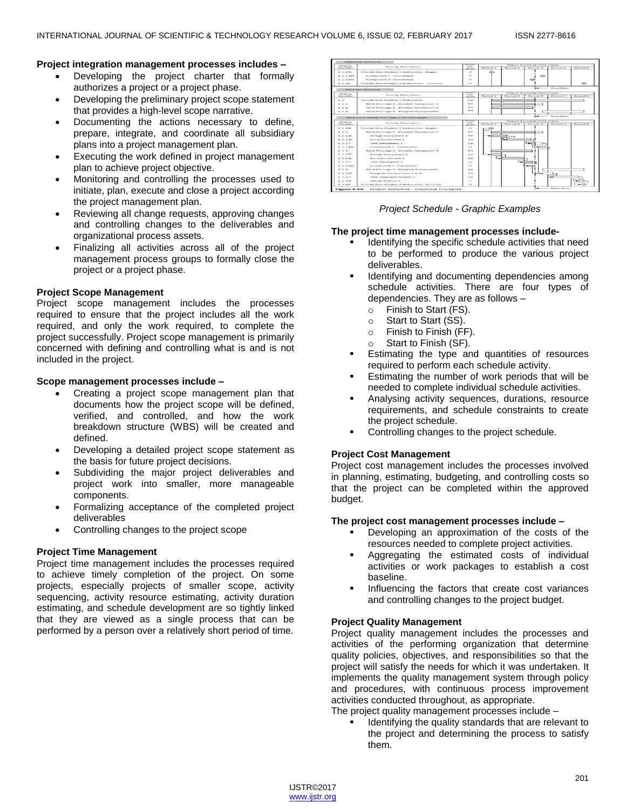#### **Project integration management processes includes –**

- Developing the project charter that formally authorizes a project or a project phase.
- Developing the preliminary project scope statement that provides a high-level scope narrative.
- Documenting the actions necessary to define, prepare, integrate, and coordinate all subsidiary plans into a project management plan.
- Executing the work defined in project management plan to achieve project objective.
- Monitoring and controlling the processes used to initiate, plan, execute and close a project according the project management plan.
- Reviewing all change requests, approving changes and controlling changes to the deliverables and organizational process assets.
- Finalizing all activities across all of the project management process groups to formally close the project or a project phase.

## **Project Scope Management**

Project scope management includes the processes required to ensure that the project includes all the work required, and only the work required, to complete the project successfully. Project scope management is primarily concerned with defining and controlling what is and is not included in the project.

#### **Scope management processes include –**

- Creating a project scope management plan that documents how the project scope will be defined, verified, and controlled, and how the work breakdown structure (WBS) will be created and defined.
- Developing a detailed project scope statement as the basis for future project decisions.
- Subdividing the major project deliverables and project work into smaller, more manageable components.
- Formalizing acceptance of the completed project deliverables
- Controlling changes to the project scope

#### **Project Time Management**

Project time management includes the processes required to achieve timely completion of the project. On some projects, especially projects of smaller scope, activity sequencing, activity resource estimating, activity duration estimating, and schedule development are so tightly linked that they are viewed as a single process that can be performed by a person over a relatively short period of time.



#### *Project Schedule - Graphic Examples*

## **The project time management processes include-**

- Identifying the specific schedule activities that need to be performed to produce the various project deliverables.
- Identifying and documenting dependencies among schedule activities. There are four types of dependencies. They are as follows –
	- o Finish to Start (FS).
	- o Start to Start (SS).
	- o Finish to Finish (FF).
	- o Start to Finish (SF).
- Estimating the type and quantities of resources required to perform each schedule activity.
- Estimating the number of work periods that will be needed to complete individual schedule activities.
- Analysing activity sequences, durations, resource requirements, and schedule constraints to create the project schedule.
- Controlling changes to the project schedule.

## **Project Cost Management**

Project cost management includes the processes involved in planning, estimating, budgeting, and controlling costs so that the project can be completed within the approved budget.

#### **The project cost management processes include –**

- Developing an approximation of the costs of the resources needed to complete project activities.
- Aggregating the estimated costs of individual activities or work packages to establish a cost baseline.
- Influencing the factors that create cost variances and controlling changes to the project budget.

#### **Project Quality Management**

Project quality management includes the processes and activities of the performing organization that determine quality policies, objectives, and responsibilities so that the project will satisfy the needs for which it was undertaken. It implements the quality management system through policy and procedures, with continuous process improvement activities conducted throughout, as appropriate.

The project quality management processes include –

 Identifying the quality standards that are relevant to the project and determining the process to satisfy them.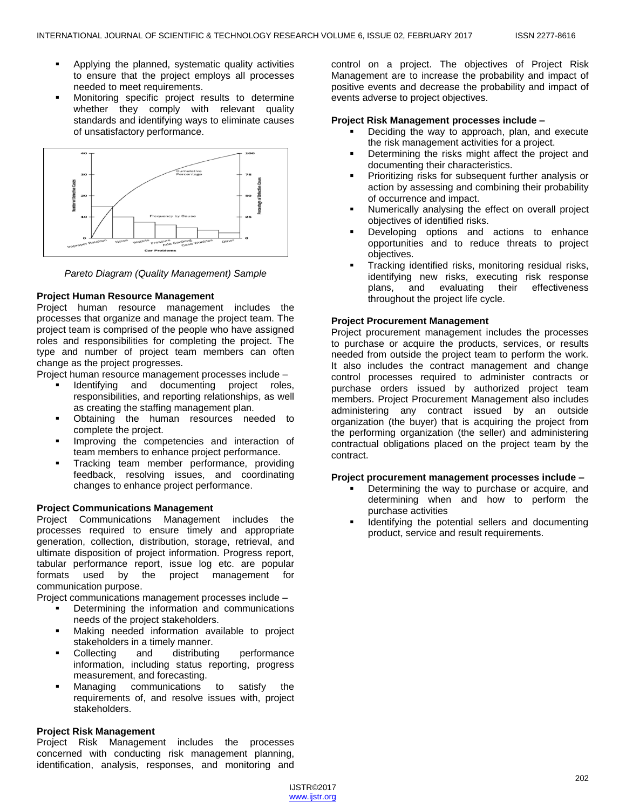- Applying the planned, systematic quality activities to ensure that the project employs all processes needed to meet requirements.
- Monitoring specific project results to determine whether they comply with relevant quality standards and identifying ways to eliminate causes of unsatisfactory performance.



*Pareto Diagram (Quality Management) Sample*

## **Project Human Resource Management**

Project human resource management includes the processes that organize and manage the project team. The project team is comprised of the people who have assigned roles and responsibilities for completing the project. The type and number of project team members can often change as the project progresses.

Project human resource management processes include –

- Identifying and documenting project roles, responsibilities, and reporting relationships, as well as creating the staffing management plan.
- Obtaining the human resources needed to complete the project.
- Improving the competencies and interaction of team members to enhance project performance.
- Tracking team member performance, providing feedback, resolving issues, and coordinating changes to enhance project performance.

## **Project Communications Management**

Project Communications Management includes the processes required to ensure timely and appropriate generation, collection, distribution, storage, retrieval, and ultimate disposition of project information. Progress report, tabular performance report, issue log etc. are popular formats used by the project management for communication purpose.

Project communications management processes include –

- Determining the information and communications needs of the project stakeholders.
- Making needed information available to project stakeholders in a timely manner.
- Collecting and distributing performance information, including status reporting, progress measurement, and forecasting.
- Managing communications to satisfy the requirements of, and resolve issues with, project stakeholders.

#### **Project Risk Management**

Project Risk Management includes the processes concerned with conducting risk management planning, identification, analysis, responses, and monitoring and control on a project. The objectives of Project Risk Management are to increase the probability and impact of positive events and decrease the probability and impact of events adverse to project objectives.

#### **Project Risk Management processes include –**

- Deciding the way to approach, plan, and execute the risk management activities for a project.
- Determining the risks might affect the project and documenting their characteristics.
- Prioritizing risks for subsequent further analysis or action by assessing and combining their probability of occurrence and impact.
- Numerically analysing the effect on overall project objectives of identified risks.
- Developing options and actions to enhance opportunities and to reduce threats to project objectives.
- Tracking identified risks, monitoring residual risks, identifying new risks, executing risk response plans, and evaluating their effectiveness throughout the project life cycle.

#### **Project Procurement Management**

Project procurement management includes the processes to purchase or acquire the products, services, or results needed from outside the project team to perform the work. It also includes the contract management and change control processes required to administer contracts or purchase orders issued by authorized project team members. Project Procurement Management also includes administering any contract issued by an outside organization (the buyer) that is acquiring the project from the performing organization (the seller) and administering contractual obligations placed on the project team by the contract.

#### **Project procurement management processes include –**

- Determining the way to purchase or acquire, and determining when and how to perform the purchase activities
- Identifying the potential sellers and documenting product, service and result requirements.

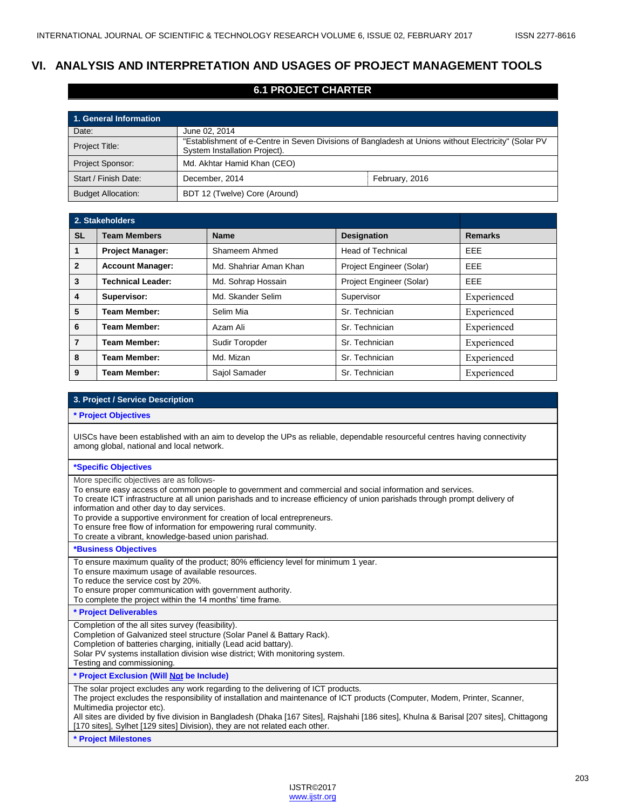# **VI. ANALYSIS AND INTERPRETATION AND USAGES OF PROJECT MANAGEMENT TOOLS**

## **6.1 PROJECT CHARTER**

| 1. General Information    |                                                                                                                                       |                |  |  |  |
|---------------------------|---------------------------------------------------------------------------------------------------------------------------------------|----------------|--|--|--|
| Date:                     | June 02, 2014                                                                                                                         |                |  |  |  |
| Project Title:            | "Establishment of e-Centre in Seven Divisions of Bangladesh at Unions without Electricity" (Solar PV<br>System Installation Project). |                |  |  |  |
| Project Sponsor:          | Md. Akhtar Hamid Khan (CEO)                                                                                                           |                |  |  |  |
| Start / Finish Date:      | December, 2014                                                                                                                        | February, 2016 |  |  |  |
| <b>Budget Allocation:</b> | BDT 12 (Twelve) Core (Around)                                                                                                         |                |  |  |  |

| 2. Stakeholders |                          |                        |                          |                |
|-----------------|--------------------------|------------------------|--------------------------|----------------|
| <b>SL</b>       | <b>Team Members</b>      | <b>Name</b>            | <b>Designation</b>       | <b>Remarks</b> |
| 1               | <b>Project Manager:</b>  | Shameem Ahmed          | <b>Head of Technical</b> | <b>EEE</b>     |
| $\overline{2}$  | <b>Account Manager:</b>  | Md. Shahriar Aman Khan | Project Engineer (Solar) | EEE            |
| 3               | <b>Technical Leader:</b> | Md. Sohrap Hossain     | Project Engineer (Solar) | <b>EEE</b>     |
| 4               | Supervisor:              | Md. Skander Selim      | Supervisor               | Experienced    |
| 5               | <b>Team Member:</b>      | Selim Mia              | Sr. Technician           | Experienced    |
| 6               | <b>Team Member:</b>      | Azam Ali               | Sr. Technician           | Experienced    |
| 7               | <b>Team Member:</b>      | Sudir Toropder         | Sr. Technician           | Experienced    |
| 8               | <b>Team Member:</b>      | Md. Mizan              | Sr. Technician           | Experienced    |
| 9               | <b>Team Member:</b>      | Sajol Samader          | Sr. Technician           | Experienced    |

#### **3. Project / Service Description**

**\* Project Objectives**

UISCs have been established with an aim to develop the UPs as reliable, dependable resourceful centres having connectivity among global, national and local network.

#### **\*Specific Objectives**

More specific objectives are as follows-

To ensure easy access of common people to government and commercial and social information and services.

To create ICT infrastructure at all union parishads and to increase efficiency of union parishads through prompt delivery of

information and other day to day services.

To provide a supportive environment for creation of local entrepreneurs.

To ensure free flow of information for empowering rural community.

To create a vibrant, knowledge-based union parishad.

#### **\*Business Objectives**

To ensure maximum quality of the product; 80% efficiency level for minimum 1 year.

To ensure maximum usage of available resources.

To reduce the service cost by 20%.

To ensure proper communication with government authority.

To complete the project within the 14 months' time frame.

**\* Project Deliverables**

Completion of the all sites survey (feasibility).

Completion of Galvanized steel structure (Solar Panel & Battary Rack).

Completion of batteries charging, initially (Lead acid battary).

Solar PV systems installation division wise district; With monitoring system.

Testing and commissioning.

**\* Project Exclusion (Will Not be Include)** 

The solar project excludes any work regarding to the delivering of ICT products.

The project excludes the responsibility of installation and maintenance of ICT products (Computer, Modem, Printer, Scanner, Multimedia projector etc).

All sites are divided by five division in Bangladesh (Dhaka [167 Sites], Rajshahi [186 sites], Khulna & Barisal [207 sites], Chittagong [170 sites], Sylhet [129 sites] Division), they are not related each other.

**\* Project Milestones**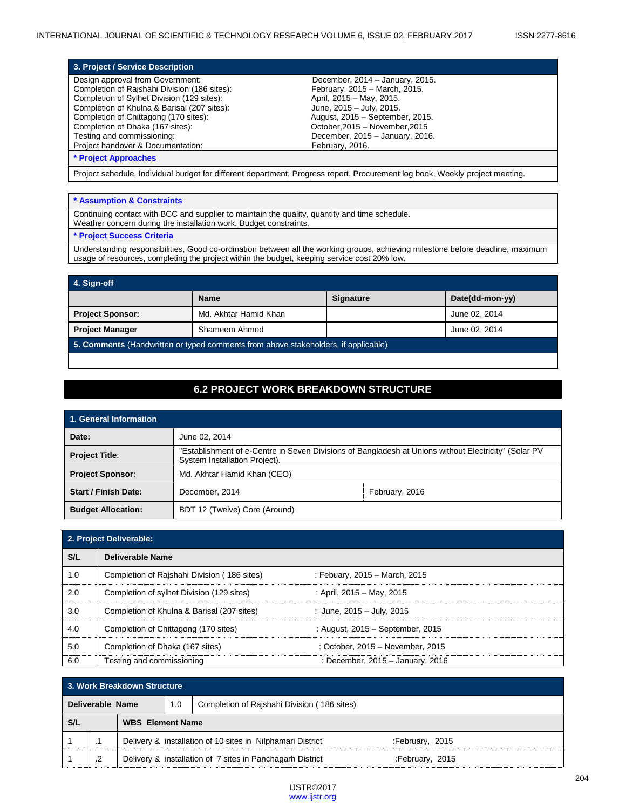| 3. Project / Service Description             |                                 |
|----------------------------------------------|---------------------------------|
| Design approval from Government:             | December, 2014 - January, 2015. |
| Completion of Rajshahi Division (186 sites): | February, 2015 - March, 2015.   |
| Completion of Sylhet Division (129 sites):   | April, 2015 - May, 2015.        |
| Completion of Khulna & Barisal (207 sites):  | June, 2015 - July, 2015.        |
| Completion of Chittagong (170 sites):        | August, 2015 - September, 2015. |
| Completion of Dhaka (167 sites):             | October, 2015 - November, 2015  |
| Testing and commissioning:                   | December, 2015 - January, 2016. |
| Project handover & Documentation:            | February, 2016.                 |
| <b>* Project Approaches</b>                  |                                 |

Project schedule, Individual budget for different department, Progress report, Procurement log book, Weekly project meeting.

#### **\* Assumption & Constraints**

Continuing contact with BCC and supplier to maintain the quality, quantity and time schedule. Weather concern during the installation work. Budget constraints.

### **\* Project Success Criteria**

Understanding responsibilities, Good co-ordination between all the working groups, achieving milestone before deadline, maximum usage of resources, completing the project within the budget, keeping service cost 20% low.

| 4. Sign-off                                                                        |                       |                  |                 |  |  |  |  |
|------------------------------------------------------------------------------------|-----------------------|------------------|-----------------|--|--|--|--|
|                                                                                    | <b>Name</b>           | <b>Signature</b> | Date(dd-mon-yy) |  |  |  |  |
| <b>Project Sponsor:</b>                                                            | Md. Akhtar Hamid Khan |                  | June 02, 2014   |  |  |  |  |
| Shameem Ahmed<br><b>Project Manager</b><br>June 02, 2014                           |                       |                  |                 |  |  |  |  |
| 5. Comments (Handwritten or typed comments from above stakeholders, if applicable) |                       |                  |                 |  |  |  |  |

# **6.2 PROJECT WORK BREAKDOWN STRUCTURE**

| 1. General Information      |                                                                                                                                       |  |  |  |  |
|-----------------------------|---------------------------------------------------------------------------------------------------------------------------------------|--|--|--|--|
| Date:                       | June 02, 2014                                                                                                                         |  |  |  |  |
| <b>Project Title:</b>       | "Establishment of e-Centre in Seven Divisions of Bangladesh at Unions without Electricity" (Solar PV<br>System Installation Project). |  |  |  |  |
| <b>Project Sponsor:</b>     | Md. Akhtar Hamid Khan (CEO)                                                                                                           |  |  |  |  |
| <b>Start / Finish Date:</b> | December, 2014<br>February, 2016                                                                                                      |  |  |  |  |
| <b>Budget Allocation:</b>   | BDT 12 (Twelve) Core (Around)                                                                                                         |  |  |  |  |

| 2. Project Deliverable: |                                             |                                  |  |  |  |
|-------------------------|---------------------------------------------|----------------------------------|--|--|--|
| S/L                     | Deliverable Name                            |                                  |  |  |  |
| 1.0                     | Completion of Rajshahi Division (186 sites) | : Febuary, 2015 - March, 2015    |  |  |  |
| 2.0                     | Completion of sylhet Division (129 sites)   | : April, 2015 – May, 2015        |  |  |  |
| 3.0                     | Completion of Khulna & Barisal (207 sites)  | : June, $2015 -$ July, $2015$    |  |  |  |
| 4.0                     | Completion of Chittagong (170 sites)        | : August, 2015 - September, 2015 |  |  |  |
| 5.0                     | Completion of Dhaka (167 sites)             | : October, 2015 - November, 2015 |  |  |  |
| 6.0                     | Testing and commissioning                   | : December, 2015 – January, 2016 |  |  |  |

| 3. Work Breakdown Structure                                            |    |  |                                                                              |                                                            |                 |  |  |  |
|------------------------------------------------------------------------|----|--|------------------------------------------------------------------------------|------------------------------------------------------------|-----------------|--|--|--|
| Completion of Rajshahi Division (186 sites)<br>Deliverable Name<br>1.0 |    |  |                                                                              |                                                            |                 |  |  |  |
| S/L<br><b>WBS</b> Element Name                                         |    |  |                                                                              |                                                            |                 |  |  |  |
|                                                                        |    |  |                                                                              | Delivery & installation of 10 sites in Nilphamari District | :February, 2015 |  |  |  |
|                                                                        | .2 |  | Delivery & installation of 7 sites in Panchagarh District<br>February, 2015: |                                                            |                 |  |  |  |

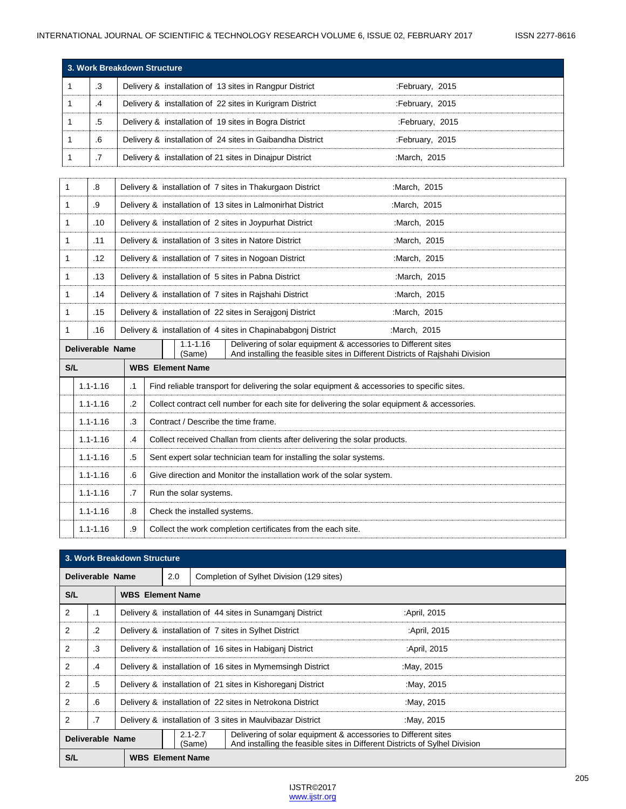|     | 3. Work Breakdown Structure                                                                      |                                                                             |                                                                                              |                              |                                                                |                                                                                             |  |
|-----|--------------------------------------------------------------------------------------------------|-----------------------------------------------------------------------------|----------------------------------------------------------------------------------------------|------------------------------|----------------------------------------------------------------|---------------------------------------------------------------------------------------------|--|
| 1   | .3                                                                                               |                                                                             |                                                                                              |                              | Delivery & installation of 13 sites in Rangpur District        | :February, 2015                                                                             |  |
| 1   | $\mathcal{A}$                                                                                    |                                                                             |                                                                                              |                              | Delivery & installation of 22 sites in Kurigram District       | :February, 2015                                                                             |  |
| 1   | .5                                                                                               |                                                                             |                                                                                              |                              | Delivery & installation of 19 sites in Bogra District          | :February, 2015                                                                             |  |
| 1   | .6                                                                                               |                                                                             |                                                                                              |                              | Delivery & installation of 24 sites in Gaibandha District      | :February, 2015                                                                             |  |
| 1   | .7                                                                                               |                                                                             |                                                                                              |                              | Delivery & installation of 21 sites in Dinajpur District       | :March, 2015                                                                                |  |
|     |                                                                                                  |                                                                             |                                                                                              |                              |                                                                |                                                                                             |  |
| 1   | .8                                                                                               |                                                                             |                                                                                              |                              | Delivery & installation of 7 sites in Thakurgaon District      | :March, 2015                                                                                |  |
| 1   | .9                                                                                               |                                                                             |                                                                                              |                              | Delivery & installation of 13 sites in Lalmonirhat District    | :March, 2015                                                                                |  |
| 1   | .10                                                                                              |                                                                             |                                                                                              |                              | Delivery & installation of 2 sites in Joypurhat District       | :March, 2015                                                                                |  |
| 1   | .11                                                                                              |                                                                             |                                                                                              |                              | Delivery & installation of 3 sites in Natore District          | :March, 2015                                                                                |  |
| 1   | .12                                                                                              |                                                                             |                                                                                              |                              | Delivery & installation of 7 sites in Nogoan District          | :March, 2015                                                                                |  |
| 1   | .13                                                                                              |                                                                             |                                                                                              |                              | Delivery & installation of 5 sites in Pabna District           | :March, 2015                                                                                |  |
| 1   | .14                                                                                              | Delivery & installation of 7 sites in Rajshahi District<br>:March, 2015     |                                                                                              |                              |                                                                |                                                                                             |  |
| 1   | .15                                                                                              | Delivery & installation of 22 sites in Serajgonj District<br>:March, 2015   |                                                                                              |                              |                                                                |                                                                                             |  |
| 1   | .16                                                                                              |                                                                             |                                                                                              |                              | Delivery & installation of 4 sites in Chapinababgonj District  | :March, 2015                                                                                |  |
|     | Deliverable Name                                                                                 |                                                                             |                                                                                              | $1.1 - 1.16$<br>(Same)       | Delivering of solar equipment & accessories to Different sites | And installing the feasible sites in Different Districts of Rajshahi Division               |  |
| S/L |                                                                                                  |                                                                             | <b>WBS</b> Element Name                                                                      |                              |                                                                |                                                                                             |  |
|     | $1.1 - 1.16$                                                                                     | $\cdot$ 1                                                                   |                                                                                              |                              |                                                                | Find reliable transport for delivering the solar equipment & accessories to specific sites. |  |
|     | $1.1 - 1.16$                                                                                     | $\cdot$                                                                     | Collect contract cell number for each site for delivering the solar equipment & accessories. |                              |                                                                |                                                                                             |  |
|     | $1.1 - 1.16$                                                                                     | $\cdot$ 3<br>Contract / Describe the time frame.                            |                                                                                              |                              |                                                                |                                                                                             |  |
|     | $1.1 - 1.16$<br>Collect received Challan from clients after delivering the solar products.<br>.4 |                                                                             |                                                                                              |                              |                                                                |                                                                                             |  |
|     | $1.1 - 1.16$                                                                                     | .5<br>Sent expert solar technician team for installing the solar systems.   |                                                                                              |                              |                                                                |                                                                                             |  |
|     | $1.1 - 1.16$                                                                                     | .6<br>Give direction and Monitor the installation work of the solar system. |                                                                                              |                              |                                                                |                                                                                             |  |
|     | $1.1 - 1.16$                                                                                     | .7                                                                          |                                                                                              | Run the solar systems.       |                                                                |                                                                                             |  |
|     | $1.1 - 1.16$                                                                                     | .8                                                                          |                                                                                              | Check the installed systems. |                                                                |                                                                                             |  |
|     | $1.1 - 1.16$                                                                                     | .9<br>Collect the work completion certificates from the each site.          |                                                                                              |                              |                                                                |                                                                                             |  |

|                  | 3. Work Breakdown Structure |                                                                          |     |                                           |                                                                |                                                                             |
|------------------|-----------------------------|--------------------------------------------------------------------------|-----|-------------------------------------------|----------------------------------------------------------------|-----------------------------------------------------------------------------|
| Deliverable Name |                             |                                                                          | 2.0 | Completion of Sylhet Division (129 sites) |                                                                |                                                                             |
| S/L              |                             | <b>WBS</b> Element Name                                                  |     |                                           |                                                                |                                                                             |
| 2                | .1                          |                                                                          |     |                                           | Delivery & installation of 44 sites in Sunamgani District      | :April, 2015                                                                |
| 2                | .2                          |                                                                          |     |                                           | Delivery & installation of 7 sites in Sylhet District          | April, 2015:                                                                |
| 2                | .3                          |                                                                          |     |                                           | Delivery & installation of 16 sites in Habiganj District       | :April, 2015                                                                |
| 2                | .4                          |                                                                          |     |                                           | Delivery & installation of 16 sites in Mymemsingh District     | :May, 2015                                                                  |
| 2                | .5                          |                                                                          |     |                                           | Delivery & installation of 21 sites in Kishoreganj District    | :May, 2015                                                                  |
| 2                | .6                          | Delivery & installation of 22 sites in Netrokona District<br>:May, 2015  |     |                                           |                                                                |                                                                             |
| 2                | $\cdot$ 7                   | Delivery & installation of 3 sites in Maulvibazar District<br>:May, 2015 |     |                                           |                                                                |                                                                             |
| Deliverable Name |                             |                                                                          |     | $2.1 - 2.7$<br>(Same)                     | Delivering of solar equipment & accessories to Different sites | And installing the feasible sites in Different Districts of Sylhel Division |
| S/L              |                             | <b>WBS</b> Element Name                                                  |     |                                           |                                                                |                                                                             |

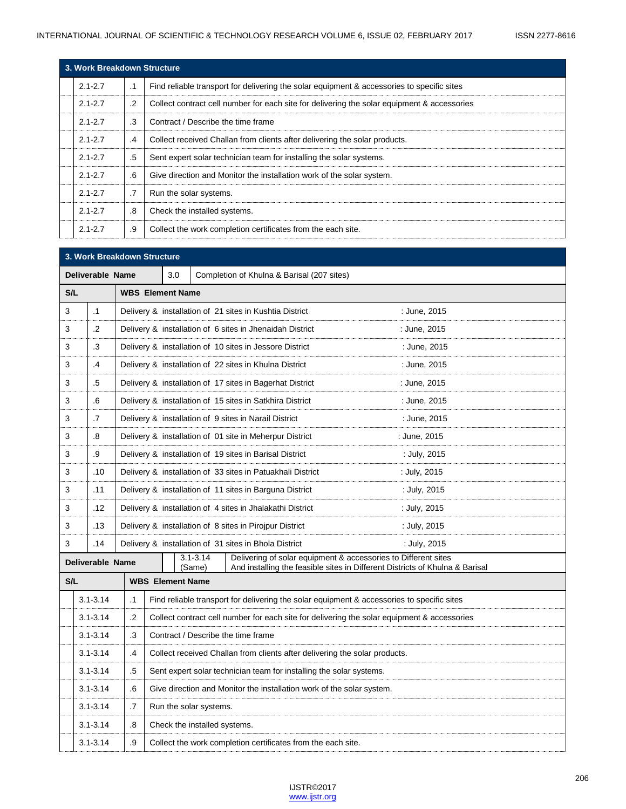| 3. Work Breakdown Structure |            |                                                                                             |  |  |  |  |  |  |
|-----------------------------|------------|---------------------------------------------------------------------------------------------|--|--|--|--|--|--|
| $2.1 - 2.7$                 | $\cdot$ 1  | Find reliable transport for delivering the solar equipment & accessories to specific sites  |  |  |  |  |  |  |
| $2.1 - 2.7$                 | $\cdot$ .2 | Collect contract cell number for each site for delivering the solar equipment & accessories |  |  |  |  |  |  |
| $2.1 - 2.7$                 | .3         | Contract / Describe the time frame                                                          |  |  |  |  |  |  |
| $2.1 - 2.7$                 | .4         | Collect received Challan from clients after delivering the solar products.                  |  |  |  |  |  |  |
| $2.1 - 2.7$                 | .5         | Sent expert solar technician team for installing the solar systems.                         |  |  |  |  |  |  |
| $2.1 - 2.7$                 | .6         | Give direction and Monitor the installation work of the solar system.                       |  |  |  |  |  |  |
| $2.1 - 2.7$                 | .7         | Run the solar systems.                                                                      |  |  |  |  |  |  |
| $2.1 - 2.7$                 | .8         | Check the installed systems.                                                                |  |  |  |  |  |  |
| $2.1 - 2.7$                 | .9         | Collect the work completion certificates from the each site.                                |  |  |  |  |  |  |

|     | 3. Work Breakdown Structure |                                                                                       |                              |                                            |                                                                                                                                                |              |  |  |
|-----|-----------------------------|---------------------------------------------------------------------------------------|------------------------------|--------------------------------------------|------------------------------------------------------------------------------------------------------------------------------------------------|--------------|--|--|
|     | <b>Deliverable Name</b>     |                                                                                       | 3.0                          | Completion of Khulna & Barisal (207 sites) |                                                                                                                                                |              |  |  |
| S/L |                             |                                                                                       | <b>WBS</b> Element Name      |                                            |                                                                                                                                                |              |  |  |
| 3   | $\cdot$ 1                   |                                                                                       |                              |                                            | Delivery & installation of 21 sites in Kushtia District                                                                                        | : June, 2015 |  |  |
| 3   | $\cdot$                     |                                                                                       |                              |                                            | Delivery & installation of 6 sites in Jhenaidah District                                                                                       | : June, 2015 |  |  |
| 3   | .3                          |                                                                                       |                              |                                            | Delivery & installation of 10 sites in Jessore District                                                                                        | : June, 2015 |  |  |
| 3   | .4                          |                                                                                       |                              |                                            | Delivery & installation of 22 sites in Khulna District                                                                                         | : June, 2015 |  |  |
| 3   | .5                          |                                                                                       |                              |                                            | Delivery & installation of 17 sites in Bagerhat District                                                                                       | : June, 2015 |  |  |
| 3   | .6                          |                                                                                       |                              |                                            | Delivery & installation of 15 sites in Satkhira District                                                                                       | : June, 2015 |  |  |
| 3   | $\cdot$ 7                   |                                                                                       |                              |                                            | Delivery & installation of 9 sites in Narail District                                                                                          | : June, 2015 |  |  |
| 3   | .8                          |                                                                                       |                              |                                            | Delivery & installation of 01 site in Meherpur District                                                                                        | : June, 2015 |  |  |
| 3   | .9                          |                                                                                       |                              |                                            | Delivery & installation of 19 sites in Barisal District                                                                                        | : July, 2015 |  |  |
| 3   | .10                         |                                                                                       |                              |                                            | Delivery & installation of 33 sites in Patuakhali District                                                                                     | : July, 2015 |  |  |
| 3   | .11                         |                                                                                       |                              |                                            | Delivery & installation of 11 sites in Barguna District                                                                                        | : July, 2015 |  |  |
| 3   | .12                         |                                                                                       |                              |                                            | Delivery & installation of 4 sites in Jhalakathi District                                                                                      | : July, 2015 |  |  |
| 3   | .13                         |                                                                                       |                              |                                            | Delivery & installation of 8 sites in Pirojpur District                                                                                        | : July, 2015 |  |  |
| 3   | .14                         |                                                                                       |                              |                                            | Delivery & installation of 31 sites in Bhola District                                                                                          | : July, 2015 |  |  |
|     | Deliverable Name            |                                                                                       |                              | $3.1 - 3.14$<br>(Same)                     | Delivering of solar equipment & accessories to Different sites<br>And installing the feasible sites in Different Districts of Khulna & Barisal |              |  |  |
| S/L |                             |                                                                                       | <b>WBS Element Name</b>      |                                            |                                                                                                                                                |              |  |  |
|     | $3.1 - 3.14$                | $\cdot$ 1                                                                             |                              |                                            | Find reliable transport for delivering the solar equipment & accessories to specific sites                                                     |              |  |  |
|     | $3.1 - 3.14$                | $\cdot$                                                                               |                              |                                            | Collect contract cell number for each site for delivering the solar equipment & accessories                                                    |              |  |  |
|     | $3.1 - 3.14$                | .3<br>Contract / Describe the time frame                                              |                              |                                            |                                                                                                                                                |              |  |  |
|     | $3.1 - 3.14$                | $\cdot$<br>Collect received Challan from clients after delivering the solar products. |                              |                                            |                                                                                                                                                |              |  |  |
|     | $3.1 - 3.14$                | .5<br>Sent expert solar technician team for installing the solar systems.             |                              |                                            |                                                                                                                                                |              |  |  |
|     | $3.1 - 3.14$                | .6<br>Give direction and Monitor the installation work of the solar system.           |                              |                                            |                                                                                                                                                |              |  |  |
|     | $3.1 - 3.14$                | .7                                                                                    | Run the solar systems.       |                                            |                                                                                                                                                |              |  |  |
|     | $3.1 - 3.14$                | .8                                                                                    | Check the installed systems. |                                            |                                                                                                                                                |              |  |  |
|     | $3.1 - 3.14$                | .9                                                                                    |                              |                                            | Collect the work completion certificates from the each site.                                                                                   |              |  |  |

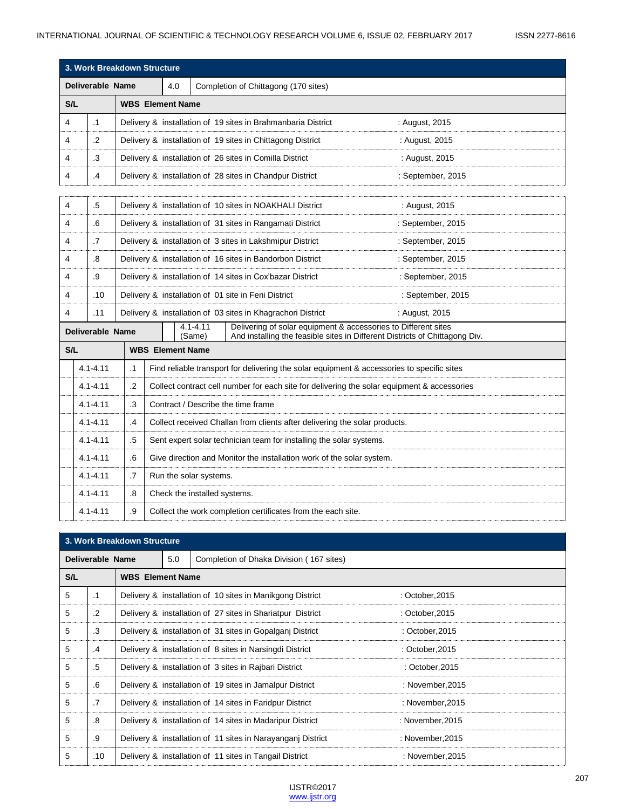| 3. Work Breakdown Structure |                         |                                                                    |                         |                                                                                                                                                                         |                                                                     |                                                              |                                                                                            |  |
|-----------------------------|-------------------------|--------------------------------------------------------------------|-------------------------|-------------------------------------------------------------------------------------------------------------------------------------------------------------------------|---------------------------------------------------------------------|--------------------------------------------------------------|--------------------------------------------------------------------------------------------|--|
| <b>Deliverable Name</b>     |                         |                                                                    |                         | 4.0<br>Completion of Chittagong (170 sites)                                                                                                                             |                                                                     |                                                              |                                                                                            |  |
| S/L                         |                         |                                                                    | <b>WBS</b> Element Name |                                                                                                                                                                         |                                                                     |                                                              |                                                                                            |  |
| 4                           | $\cdot$ 1               |                                                                    |                         |                                                                                                                                                                         |                                                                     | Delivery & installation of 19 sites in Brahmanbaria District | : August, 2015                                                                             |  |
| 4                           | $\cdot$                 |                                                                    |                         |                                                                                                                                                                         |                                                                     | Delivery & installation of 19 sites in Chittagong District   | : August, 2015                                                                             |  |
| 4                           | .3                      |                                                                    |                         |                                                                                                                                                                         |                                                                     | Delivery & installation of 26 sites in Comilla District      | : August, 2015                                                                             |  |
| 4                           | .4                      |                                                                    |                         |                                                                                                                                                                         |                                                                     | Delivery & installation of 28 sites in Chandpur District     | : September, 2015                                                                          |  |
|                             |                         |                                                                    |                         |                                                                                                                                                                         |                                                                     |                                                              |                                                                                            |  |
| 4                           | .5                      |                                                                    |                         |                                                                                                                                                                         |                                                                     | Delivery & installation of 10 sites in NOAKHALI District     | : August, 2015                                                                             |  |
| 4                           | .6                      |                                                                    |                         |                                                                                                                                                                         |                                                                     | Delivery & installation of 31 sites in Rangamati District    | : September, 2015                                                                          |  |
| 4                           | .7                      |                                                                    |                         |                                                                                                                                                                         |                                                                     | Delivery & installation of 3 sites in Lakshmipur District    | : September, 2015                                                                          |  |
| 4                           | .8                      |                                                                    |                         |                                                                                                                                                                         |                                                                     | Delivery & installation of 16 sites in Bandorbon District    | : September, 2015                                                                          |  |
| 4                           | .9                      |                                                                    |                         |                                                                                                                                                                         |                                                                     | Delivery & installation of 14 sites in Cox'bazar District    | : September, 2015                                                                          |  |
| 4                           | .10                     |                                                                    |                         |                                                                                                                                                                         |                                                                     | Delivery & installation of 01 site in Feni District          | : September, 2015                                                                          |  |
| 4                           | .11                     |                                                                    |                         |                                                                                                                                                                         |                                                                     | Delivery & installation of 03 sites in Khagrachori District  | : August, 2015                                                                             |  |
|                             | <b>Deliverable Name</b> |                                                                    |                         | Delivering of solar equipment & accessories to Different sites<br>$4.1 - 4.11$<br>(Same)<br>And installing the feasible sites in Different Districts of Chittagong Div. |                                                                     |                                                              |                                                                                            |  |
| S/L                         |                         |                                                                    | <b>WBS</b> Element Name |                                                                                                                                                                         |                                                                     |                                                              |                                                                                            |  |
|                             | $4.1 - 4.11$            | $\cdot$ 1                                                          |                         |                                                                                                                                                                         |                                                                     |                                                              | Find reliable transport for delivering the solar equipment & accessories to specific sites |  |
|                             | $4.1 - 4.11$            | $\cdot$                                                            |                         | Collect contract cell number for each site for delivering the solar equipment & accessories                                                                             |                                                                     |                                                              |                                                                                            |  |
|                             | $4.1 - 4.11$<br>.3      |                                                                    |                         | Contract / Describe the time frame                                                                                                                                      |                                                                     |                                                              |                                                                                            |  |
|                             | $4.1 - 4.11$<br>.4      |                                                                    |                         | Collect received Challan from clients after delivering the solar products.                                                                                              |                                                                     |                                                              |                                                                                            |  |
|                             | $4.1 - 4.11$            | .5                                                                 |                         |                                                                                                                                                                         | Sent expert solar technician team for installing the solar systems. |                                                              |                                                                                            |  |
|                             | $4.1 - 4.11$            | .6                                                                 |                         | Give direction and Monitor the installation work of the solar system.                                                                                                   |                                                                     |                                                              |                                                                                            |  |
|                             | $4.1 - 4.11$            | .7<br>Run the solar systems.                                       |                         |                                                                                                                                                                         |                                                                     |                                                              |                                                                                            |  |
|                             | $4.1 - 4.11$            | .8                                                                 |                         |                                                                                                                                                                         |                                                                     | Check the installed systems.                                 |                                                                                            |  |
|                             | $4.1 - 4.11$            | .9<br>Collect the work completion certificates from the each site. |                         |                                                                                                                                                                         |                                                                     |                                                              |                                                                                            |  |

|                  | 3. Work Breakdown Structure |                         |     |                                                             |                  |  |
|------------------|-----------------------------|-------------------------|-----|-------------------------------------------------------------|------------------|--|
| Deliverable Name |                             |                         | 5.0 | Completion of Dhaka Division (167 sites)                    |                  |  |
| S/L              |                             | <b>WBS</b> Element Name |     |                                                             |                  |  |
| 5                | $\cdot$ 1                   |                         |     | Delivery & installation of 10 sites in Manikgong District   | : October, 2015  |  |
| 5                | $\cdot$ .2                  |                         |     | Delivery & installation of 27 sites in Shariatpur District  | : October, 2015  |  |
| 5                | $\cdot$ 3                   |                         |     | Delivery & installation of 31 sites in Gopalganj District   | : October, 2015  |  |
| 5                | .4                          |                         |     | Delivery & installation of 8 sites in Narsingdi District    | : October, 2015  |  |
| 5                | $.5\,$                      |                         |     | Delivery & installation of 3 sites in Rajbari District      | : October, 2015  |  |
| 5                | .6                          |                         |     | Delivery & installation of 19 sites in Jamalpur District    | : November,2015  |  |
| 5                | $\cdot$ 7                   |                         |     | Delivery & installation of 14 sites in Faridpur District    | : November, 2015 |  |
| 5                | .8                          |                         |     | Delivery & installation of 14 sites in Madaripur District   | : November, 2015 |  |
| 5                | .9                          |                         |     | Delivery & installation of 11 sites in Narayanganj District | : November, 2015 |  |
| 5                | .10                         |                         |     | Delivery & installation of 11 sites in Tangail District     | : November, 2015 |  |

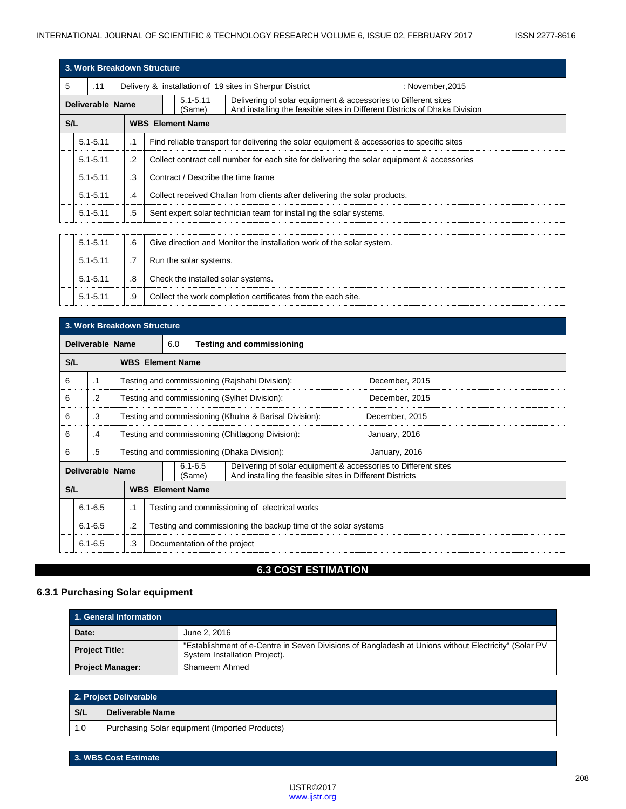5.1-5.11 .9 Collect the work completion certificates from the each site.

|                         | 3. Work Breakdown Structure |           |                                                                                                                                                                        |  |  |  |  |
|-------------------------|-----------------------------|-----------|------------------------------------------------------------------------------------------------------------------------------------------------------------------------|--|--|--|--|
| 5                       | .11                         |           | Delivery & installation of 19 sites in Sherpur District<br>: November, 2015                                                                                            |  |  |  |  |
| <b>Deliverable Name</b> |                             |           | $5.1 - 5.11$<br>Delivering of solar equipment & accessories to Different sites<br>And installing the feasible sites in Different Districts of Dhaka Division<br>(Same) |  |  |  |  |
| S/L                     |                             |           | <b>WBS</b> Element Name                                                                                                                                                |  |  |  |  |
|                         | $5.1 - 5.11$                | $\cdot$ 1 | Find reliable transport for delivering the solar equipment & accessories to specific sites                                                                             |  |  |  |  |
|                         | $5.1 - 5.11$                | $\cdot$   | Collect contract cell number for each site for delivering the solar equipment & accessories                                                                            |  |  |  |  |
|                         | $5.1 - 5.11$                | .3        | Contract / Describe the time frame                                                                                                                                     |  |  |  |  |
|                         | $5.1 - 5.11$                | .4        | Collect received Challan from clients after delivering the solar products.                                                                                             |  |  |  |  |
|                         | $5.1 - 5.11$                | .5        | Sent expert solar technician team for installing the solar systems.                                                                                                    |  |  |  |  |
|                         |                             |           |                                                                                                                                                                        |  |  |  |  |
|                         | $5.1 - 5.11$                | .6        | Give direction and Monitor the installation work of the solar system.                                                                                                  |  |  |  |  |
|                         | $5.1 - 5.11$                | .7        | Run the solar systems.                                                                                                                                                 |  |  |  |  |
|                         | $5.1 - 5.11$                | .8        | Check the installed solar systems.                                                                                                                                     |  |  |  |  |
|                         |                             |           |                                                                                                                                                                        |  |  |  |  |

|     | 3. Work Breakdown Structure |                                                                                                                                                                         |                                                     |                                                                          |                         |                                                  |                |  |
|-----|-----------------------------|-------------------------------------------------------------------------------------------------------------------------------------------------------------------------|-----------------------------------------------------|--------------------------------------------------------------------------|-------------------------|--------------------------------------------------|----------------|--|
|     | Deliverable Name            |                                                                                                                                                                         |                                                     | 6.0<br><b>Testing and commissioning</b>                                  |                         |                                                  |                |  |
| S/L |                             |                                                                                                                                                                         | <b>WBS</b> Element Name                             |                                                                          |                         |                                                  |                |  |
| 6   | $\cdot$ 1                   |                                                                                                                                                                         |                                                     |                                                                          |                         | Testing and commissioning (Rajshahi Division):   | December, 2015 |  |
| 6   | .2                          |                                                                                                                                                                         |                                                     |                                                                          |                         | Testing and commissioning (Sylhet Division):     | December, 2015 |  |
| 6   | .3                          |                                                                                                                                                                         |                                                     | Testing and commissioning (Khulna & Barisal Division):<br>December, 2015 |                         |                                                  |                |  |
| 6   | .4                          |                                                                                                                                                                         |                                                     |                                                                          |                         | Testing and commissioning (Chittagong Division): | January, 2016  |  |
| 6   | .5                          |                                                                                                                                                                         |                                                     | Testing and commissioning (Dhaka Division):<br>January, 2016             |                         |                                                  |                |  |
|     |                             | $6.1 - 6.5$<br>Delivering of solar equipment & accessories to Different sites<br>Deliverable Name<br>And installing the feasible sites in Different Districts<br>(Same) |                                                     |                                                                          |                         |                                                  |                |  |
| S/L |                             |                                                                                                                                                                         |                                                     |                                                                          | <b>WBS</b> Element Name |                                                  |                |  |
|     | $6.1 - 6.5$                 |                                                                                                                                                                         | Testing and commissioning of electrical works<br>.1 |                                                                          |                         |                                                  |                |  |
|     | $6.1 - 6.5$                 |                                                                                                                                                                         | .2                                                  | Testing and commissioning the backup time of the solar systems           |                         |                                                  |                |  |
|     | $6.1 - 6.5$                 |                                                                                                                                                                         | .3                                                  | Documentation of the project                                             |                         |                                                  |                |  |

# **6.3 COST ESTIMATION**

## **6.3.1 Purchasing Solar equipment**

| 1. General Information  |                                                                                                                                       |  |  |  |
|-------------------------|---------------------------------------------------------------------------------------------------------------------------------------|--|--|--|
| Date:                   | June 2, 2016                                                                                                                          |  |  |  |
| <b>Project Title:</b>   | "Establishment of e-Centre in Seven Divisions of Bangladesh at Unions without Electricity" (Solar PV<br>System Installation Project). |  |  |  |
| <b>Project Manager:</b> | Shameem Ahmed                                                                                                                         |  |  |  |

| 2. Project Deliverable |                                                |  |  |
|------------------------|------------------------------------------------|--|--|
| S/L                    | Deliverable Name                               |  |  |
| 1.0                    | Purchasing Solar equipment (Imported Products) |  |  |

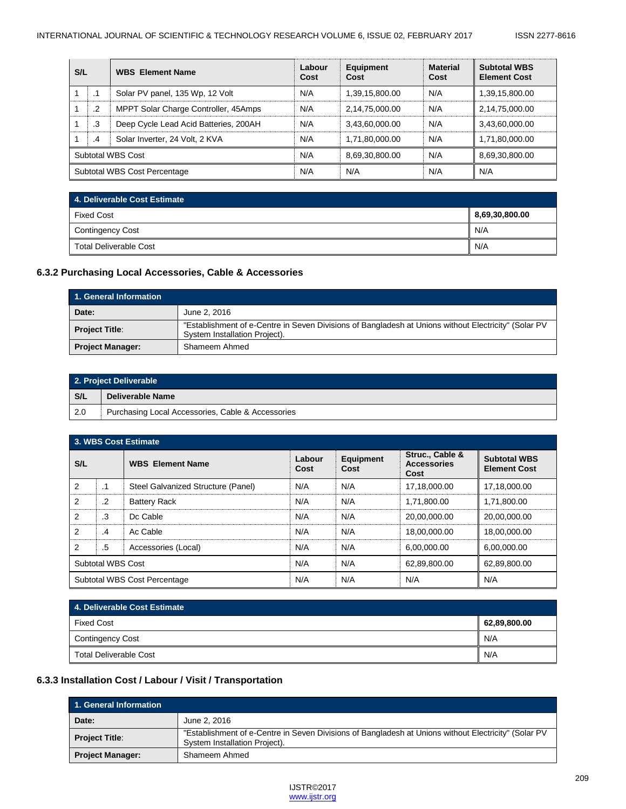| S/L                          |     | <b>WBS</b> Element Name               | Labour<br>Cost | <b>Equipment</b><br>Cost | <b>Material</b><br>Cost | <b>Subtotal WBS</b><br><b>Element Cost</b> |
|------------------------------|-----|---------------------------------------|----------------|--------------------------|-------------------------|--------------------------------------------|
|                              | . I | Solar PV panel, 135 Wp, 12 Volt       | N/A            | 1,39,15,800.00           | N/A                     | 1,39,15,800.00                             |
|                              | .2  | MPPT Solar Charge Controller, 45Amps  | N/A            | 2,14,75,000.00           | N/A                     | 2,14,75,000.00                             |
| $\mathbf{1}$                 | .3  | Deep Cycle Lead Acid Batteries, 200AH | N/A            | 3,43,60,000.00           | N/A                     | 3,43,60,000.00                             |
|                              | .4  | Solar Inverter, 24 Volt, 2 KVA        | N/A            | 1,71,80,000.00           | N/A                     | 1,71,80,000.00                             |
| Subtotal WBS Cost            |     |                                       | N/A            | 8.69.30.800.00           | N/A                     | 8,69,30,800.00                             |
| Subtotal WBS Cost Percentage |     |                                       | N/A            | N/A                      | N/A                     | N/A                                        |

| 4. Deliverable Cost Estimate |                |  |  |
|------------------------------|----------------|--|--|
| <b>Fixed Cost</b>            | 8,69,30,800.00 |  |  |
| Contingency Cost             | N/A            |  |  |
| Total Deliverable Cost       | N/A            |  |  |

### **6.3.2 Purchasing Local Accessories, Cable & Accessories**

| 1. General Information  |                                                                                                                                       |  |  |  |
|-------------------------|---------------------------------------------------------------------------------------------------------------------------------------|--|--|--|
| Date:                   | June 2, 2016                                                                                                                          |  |  |  |
| <b>Project Title:</b>   | "Establishment of e-Centre in Seven Divisions of Bangladesh at Unions without Electricity" (Solar PV<br>System Installation Project). |  |  |  |
| <b>Project Manager:</b> | Shameem Ahmed                                                                                                                         |  |  |  |

|     | 2. Project Deliverable                            |  |  |  |
|-----|---------------------------------------------------|--|--|--|
| S/L | Deliverable Name                                  |  |  |  |
| 2.0 | Purchasing Local Accessories, Cable & Accessories |  |  |  |

| 3. WBS Cost Estimate         |         |                                    |                |                          |                                               |                                            |
|------------------------------|---------|------------------------------------|----------------|--------------------------|-----------------------------------------------|--------------------------------------------|
| S/L                          |         | <b>WBS</b> Element Name            | Labour<br>Cost | <b>Equipment</b><br>Cost | Struc., Cable &<br><b>Accessories</b><br>Cost | <b>Subtotal WBS</b><br><b>Element Cost</b> |
| $\overline{2}$               | .1      | Steel Galvanized Structure (Panel) | N/A            | N/A                      | 17,18,000.00                                  | 17,18,000.00                               |
| 2                            | $\cdot$ | <b>Battery Rack</b>                | N/A            | N/A                      | 1.71.800.00                                   | 1,71,800.00                                |
| $\overline{2}$               | .3      | Dc Cable                           | N/A            | N/A                      | 20.00.000.00                                  | 20,00,000.00                               |
| 2                            | .4      | Ac Cable                           | N/A            | N/A                      | 18.00.000.00                                  | 18,00,000.00                               |
| 2                            | .5      | Accessories (Local)                | N/A            | N/A                      | 6,00,000.00                                   | 6,00,000.00                                |
| Subtotal WBS Cost            |         |                                    | N/A            | N/A                      | 62,89,800.00                                  | 62,89,800.00                               |
| Subtotal WBS Cost Percentage |         |                                    | N/A            | N/A                      | N/A                                           | N/A                                        |

| 4. Deliverable Cost Estimate  |              |  |  |
|-------------------------------|--------------|--|--|
| <b>Fixed Cost</b>             | 62,89,800.00 |  |  |
| Contingency Cost              | N/A          |  |  |
| <b>Total Deliverable Cost</b> | N/A          |  |  |

# **6.3.3 Installation Cost / Labour / Visit / Transportation**

| 1. General Information  |                                                                                                                                       |  |  |  |  |
|-------------------------|---------------------------------------------------------------------------------------------------------------------------------------|--|--|--|--|
| Date:                   | June 2, 2016                                                                                                                          |  |  |  |  |
| <b>Project Title:</b>   | "Establishment of e-Centre in Seven Divisions of Bangladesh at Unions without Electricity" (Solar PV<br>System Installation Project). |  |  |  |  |
| <b>Project Manager:</b> | Shameem Ahmed                                                                                                                         |  |  |  |  |

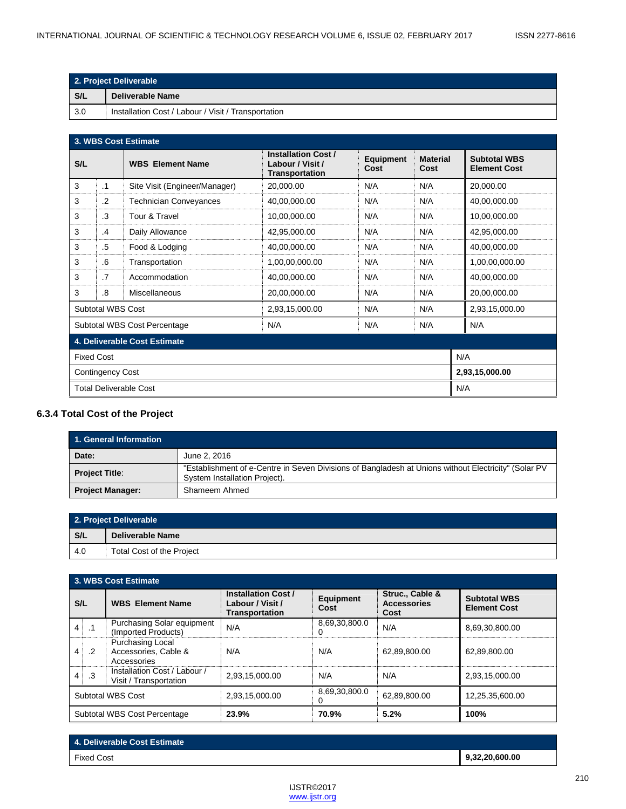| 2. Project Deliverable |                                                     |  |
|------------------------|-----------------------------------------------------|--|
| S/L                    | Deliverable Name                                    |  |
| 3.0                    | Installation Cost / Labour / Visit / Transportation |  |

| 3. WBS Cost Estimate                      |                                                   |                               |                                                                         |                          |                         |                                            |
|-------------------------------------------|---------------------------------------------------|-------------------------------|-------------------------------------------------------------------------|--------------------------|-------------------------|--------------------------------------------|
| S/L                                       |                                                   | <b>WBS</b> Element Name       | <b>Installation Cost /</b><br>Labour / Visit /<br><b>Transportation</b> | <b>Equipment</b><br>Cost | <b>Material</b><br>Cost | <b>Subtotal WBS</b><br><b>Element Cost</b> |
| 3                                         | $\cdot$ 1                                         | Site Visit (Engineer/Manager) | 20,000.00                                                               | N/A                      | N/A                     | 20,000.00                                  |
| 3                                         | $\cdot$                                           | <b>Technician Conveyances</b> | 40,00,000.00                                                            | N/A                      | N/A                     | 40,00,000.00                               |
| 3                                         | .3                                                | Tour & Travel                 | 10,00,000.00                                                            | N/A                      | N/A                     | 10,00,000.00                               |
| 3                                         | .4                                                | Daily Allowance               | N/A<br>N/A<br>42,95,000.00                                              |                          |                         | 42,95,000.00                               |
| 3                                         | .5                                                | Food & Lodging                | 40,00,000.00                                                            | N/A                      | N/A                     | 40,00,000.00                               |
| 3                                         | .6                                                | Transportation                | 1,00,00,000.00                                                          | N/A                      | N/A                     | 1,00,00,000.00                             |
| 3                                         | .7                                                | Accommodation                 | 40,00,000.00                                                            | N/A                      | N/A                     | 40,00,000.00                               |
| 3                                         | N/A<br>N/A<br>.8<br>Miscellaneous<br>20,00,000.00 |                               |                                                                         | 20,00,000.00             |                         |                                            |
| Subtotal WBS Cost                         |                                                   |                               | 2,93,15,000.00                                                          | N/A                      | N/A                     | 2,93,15,000.00                             |
|                                           |                                                   | Subtotal WBS Cost Percentage  | N/A                                                                     | N/A                      | N/A                     | N/A                                        |
|                                           | 4. Deliverable Cost Estimate                      |                               |                                                                         |                          |                         |                                            |
| <b>Fixed Cost</b><br>N/A                  |                                                   |                               |                                                                         |                          |                         |                                            |
| 2,93,15,000.00<br><b>Contingency Cost</b> |                                                   |                               |                                                                         |                          |                         |                                            |
| <b>Total Deliverable Cost</b><br>N/A      |                                                   |                               |                                                                         |                          |                         |                                            |

## **6.3.4 Total Cost of the Project**

| 1. General Information  |                                                                                                                                       |  |  |  |
|-------------------------|---------------------------------------------------------------------------------------------------------------------------------------|--|--|--|
| Date:                   | June 2, 2016                                                                                                                          |  |  |  |
| <b>Project Title:</b>   | "Establishment of e-Centre in Seven Divisions of Bangladesh at Unions without Electricity" (Solar PV<br>System Installation Project). |  |  |  |
| <b>Project Manager:</b> | Shameem Ahmed                                                                                                                         |  |  |  |

| 2. Project Deliverable |                                  |  |
|------------------------|----------------------------------|--|
| S/L                    | Deliverable Name                 |  |
| -4.0                   | <b>Total Cost of the Project</b> |  |

|                              | 3. WBS Cost Estimate |                                                          |                                                                                              |                    |                                               |                                            |
|------------------------------|----------------------|----------------------------------------------------------|----------------------------------------------------------------------------------------------|--------------------|-----------------------------------------------|--------------------------------------------|
| S/L                          |                      | <b>WBS</b> Element Name                                  | <b>Installation Cost /</b><br><b>Equipment</b><br>Labour / Visit /<br>Cost<br>Transportation |                    | Struc., Cable &<br><b>Accessories</b><br>Cost | <b>Subtotal WBS</b><br><b>Element Cost</b> |
| $\overline{4}$               | $\cdot$ 1            | <b>Purchasing Solar equipment</b><br>(Imported Products) | N/A                                                                                          | 8,69,30,800.0<br>0 | N/A                                           | 8,69,30,800.00                             |
| 4                            | $\cdot$ .2           | Purchasing Local<br>Accessories, Cable &<br>Accessories  | N/A                                                                                          | N/A                | 62,89,800.00                                  | 62,89,800.00                               |
| 4                            | $\cdot$ 3            | Installation Cost / Labour /<br>Visit / Transportation   | 2,93,15,000.00                                                                               | N/A                | N/A                                           | 2,93,15,000.00                             |
| Subtotal WBS Cost            |                      |                                                          | 2,93,15,000.00                                                                               | 8,69,30,800.0<br>O | 62.89.800.00                                  | 12,25,35,600.00                            |
| Subtotal WBS Cost Percentage |                      |                                                          | 23.9%                                                                                        | 70.9%              | 5.2%                                          | 100%                                       |

| 4. Deliverable Cost Estimate |                |
|------------------------------|----------------|
| <b>Fixed Cost</b>            | 9,32,20,600.00 |
|                              |                |

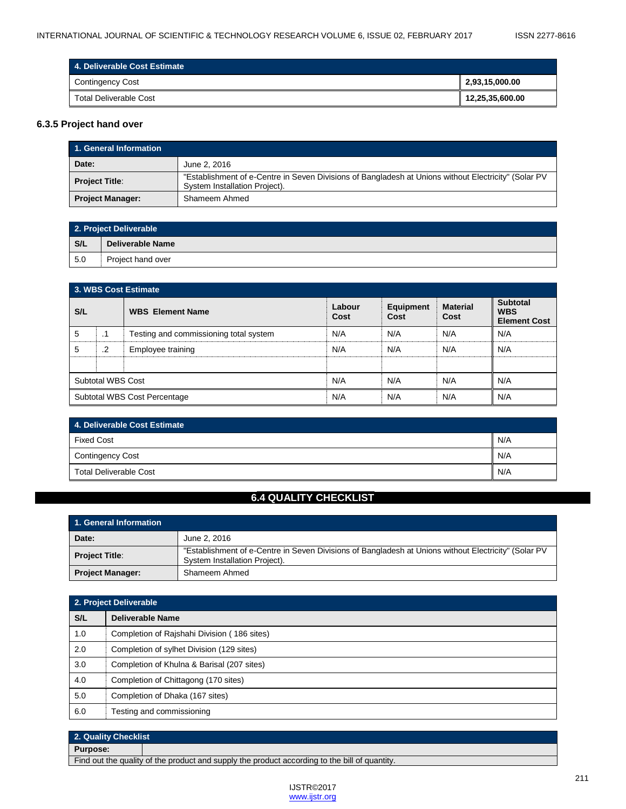| 4. Deliverable Cost Estimate |                 |  |  |
|------------------------------|-----------------|--|--|
| Contingency Cost             | 2,93,15,000.00  |  |  |
| Total Deliverable Cost       | 12,25,35,600.00 |  |  |

## **6.3.5 Project hand over**

| 1. General Information  |                                                                                                                                       |  |  |  |
|-------------------------|---------------------------------------------------------------------------------------------------------------------------------------|--|--|--|
| Date:                   | June 2, 2016                                                                                                                          |  |  |  |
| <b>Project Title:</b>   | "Establishment of e-Centre in Seven Divisions of Bangladesh at Unions without Electricity" (Solar PV<br>System Installation Project). |  |  |  |
| <b>Project Manager:</b> | Shameem Ahmed                                                                                                                         |  |  |  |

| 2. Project Deliverable |                   |  |
|------------------------|-------------------|--|
| S/L                    | Deliverable Name  |  |
| 5.0                    | Project hand over |  |

| 3. WBS Cost Estimate         |         |                                        |                |                          |                         |                                                      |
|------------------------------|---------|----------------------------------------|----------------|--------------------------|-------------------------|------------------------------------------------------|
| S/L                          |         | <b>WBS</b> Element Name                | Labour<br>Cost | <b>Equipment</b><br>Cost | <b>Material</b><br>Cost | <b>Subtotal</b><br><b>WBS</b><br><b>Element Cost</b> |
| 5                            | .1      | Testing and commissioning total system | N/A            | N/A                      | N/A                     | N/A                                                  |
| 5                            | $\cdot$ | Employee training                      | N/A            | N/A                      | N/A                     | N/A                                                  |
|                              |         |                                        |                |                          |                         |                                                      |
| Subtotal WBS Cost            |         |                                        | N/A            | N/A                      | N/A                     | N/A                                                  |
| Subtotal WBS Cost Percentage |         |                                        | N/A            | N/A                      | N/A                     | N/A                                                  |

| 4. Deliverable Cost Estimate           |       |  |
|----------------------------------------|-------|--|
| <b>Fixed Cost</b>                      | I N/A |  |
| <b>Contingency Cost</b>                | I N/A |  |
| I N/A<br><b>Total Deliverable Cost</b> |       |  |

## **6.4 QUALITY CHECKLIST**

| 1. General Information  |                                                                                                                                       |  |  |
|-------------------------|---------------------------------------------------------------------------------------------------------------------------------------|--|--|
| Date:                   | June 2, 2016                                                                                                                          |  |  |
| <b>Project Title:</b>   | "Establishment of e-Centre in Seven Divisions of Bangladesh at Unions without Electricity" (Solar PV<br>System Installation Project). |  |  |
| <b>Project Manager:</b> | Shameem Ahmed                                                                                                                         |  |  |

| 2. Project Deliverable |                                             |  |
|------------------------|---------------------------------------------|--|
| S/L                    | <b>Deliverable Name</b>                     |  |
| 1.0                    | Completion of Rajshahi Division (186 sites) |  |
| 2.0                    | Completion of sylhet Division (129 sites)   |  |
| 3.0                    | Completion of Khulna & Barisal (207 sites)  |  |
| 4.0                    | Completion of Chittagong (170 sites)        |  |
| 5.0                    | Completion of Dhaka (167 sites)             |  |
| 6.0                    | Testing and commissioning                   |  |

# **2. Quality Checklist**

**Purpose:**

Find out the quality of the product and supply the product according to the bill of quantity.

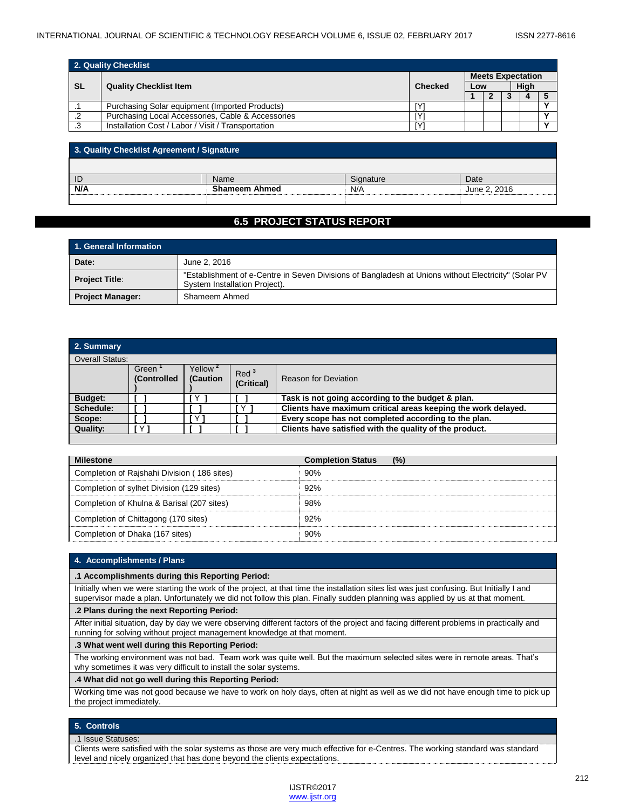| 2. Quality Checklist |                                                    |    |                          |  |  |      |  |
|----------------------|----------------------------------------------------|----|--------------------------|--|--|------|--|
|                      |                                                    |    | <b>Meets Expectation</b> |  |  |      |  |
| <b>SL</b>            | <b>Quality Checklist Item</b>                      |    | Low                      |  |  | Hiah |  |
|                      |                                                    |    |                          |  |  |      |  |
|                      | Purchasing Solar equipment (Imported Products)     |    |                          |  |  |      |  |
|                      | Purchasing Local Accessories, Cable & Accessories  |    |                          |  |  |      |  |
|                      | Installation Cost / Labor / Visit / Transportation | ΓV |                          |  |  |      |  |

| 3. Quality Checklist Agreement / Signature |                      |           |              |  |  |
|--------------------------------------------|----------------------|-----------|--------------|--|--|
|                                            |                      |           |              |  |  |
| ID                                         | Name                 | Signature | Date         |  |  |
| N/A                                        | <b>Shameem Ahmed</b> | N/A       | June 2, 2016 |  |  |
|                                            |                      |           |              |  |  |

## **6.5 PROJECT STATUS REPORT**

| 1. General Information  |                                                                                                                                       |  |  |  |
|-------------------------|---------------------------------------------------------------------------------------------------------------------------------------|--|--|--|
| Date:<br>June 2, 2016   |                                                                                                                                       |  |  |  |
| <b>Project Title:</b>   | "Establishment of e-Centre in Seven Divisions of Bangladesh at Unions without Electricity" (Solar PV<br>System Installation Project). |  |  |  |
| <b>Project Manager:</b> | Shameem Ahmed                                                                                                                         |  |  |  |

| 2. Summary     |                             |                                 |                                |                                                               |
|----------------|-----------------------------|---------------------------------|--------------------------------|---------------------------------------------------------------|
|                | <b>Overall Status:</b>      |                                 |                                |                                                               |
|                | Green<br><b>(Controlled</b> | Yellow <sup>2</sup><br>(Caution | Red <sup>3</sup><br>(Critical) | <b>Reason for Deviation</b>                                   |
| <b>Budget:</b> |                             | v                               |                                | Task is not going according to the budget & plan.             |
| Schedule:      |                             |                                 | r Y I                          | Clients have maximum critical areas keeping the work delayed. |
| Scope:         |                             | $\times$ 1                      |                                | Every scope has not completed according to the plan.          |
| Quality:       | v                           |                                 |                                | Clients have satisfied with the quality of the product.       |

| <b>Milestone</b>                            | (%)<br><b>Completion Status</b> |
|---------------------------------------------|---------------------------------|
| Completion of Rajshahi Division (186 sites) | 90%                             |
| Completion of sylhet Division (129 sites)   | 92%                             |
| Completion of Khulna & Barisal (207 sites)  | 98%                             |
| Completion of Chittagong (170 sites)        | 92%                             |
| Completion of Dhaka (167 sites)             | 90%                             |

#### **4. Accomplishments / Plans**

#### **.1 Accomplishments during this Reporting Period:**

Initially when we were starting the work of the project, at that time the installation sites list was just confusing. But Initially I and supervisor made a plan. Unfortunately we did not follow this plan. Finally sudden planning was applied by us at that moment.

#### **.2 Plans during the next Reporting Period:**

After initial situation, day by day we were observing different factors of the project and facing different problems in practically and running for solving without project management knowledge at that moment.

#### **.3 What went well during this Reporting Period:**

The working environment was not bad. Team work was quite well. But the maximum selected sites were in remote areas. That's why sometimes it was very difficult to install the solar systems.

#### **.4 What did not go well during this Reporting Period:**

Working time was not good because we have to work on holy days, often at night as well as we did not have enough time to pick up the project immediately.

#### **5. Controls**

#### .1 Issue Statuses:

Clients were satisfied with the solar systems as those are very much effective for e-Centres. The working standard was standard level and nicely organized that has done beyond the clients expectations.

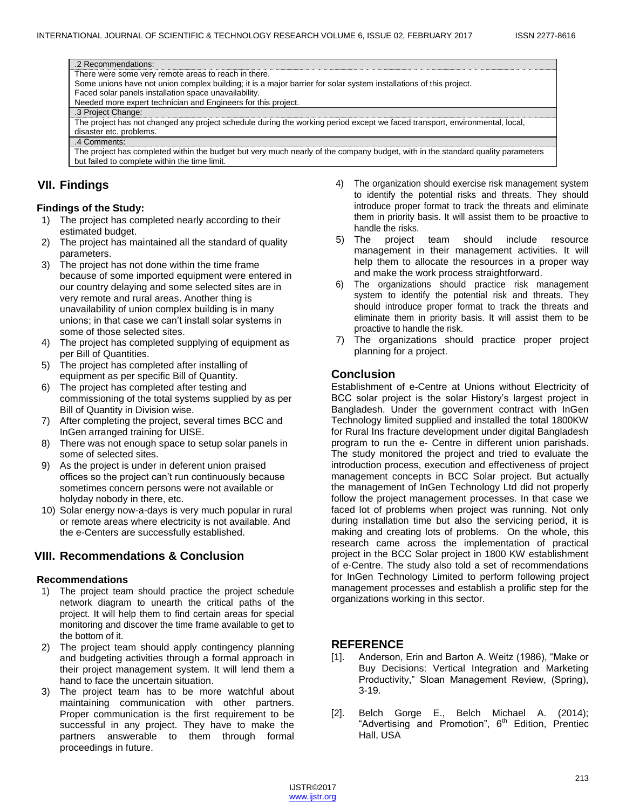| .2 Recommendations:                                                                                                             |
|---------------------------------------------------------------------------------------------------------------------------------|
| There were some very remote areas to reach in there.                                                                            |
| Some unions have not union complex building; it is a major barrier for solar system installations of this project.              |
| Faced solar panels installation space unavailability.                                                                           |
| Needed more expert technician and Engineers for this project.                                                                   |
| .3 Project Change:                                                                                                              |
| The project has not changed any project schedule during the working period except we faced transport, environmental, local,     |
| disaster etc. problems.                                                                                                         |
| .4 Comments:                                                                                                                    |
| The project has completed within the budget but very much nearly of the company budget, with in the standard quality parameters |
| but failed to complete within the time limit.                                                                                   |

## **VII. Findings**

#### **Findings of the Study:**

- 1) The project has completed nearly according to their estimated budget.
- 2) The project has maintained all the standard of quality parameters.
- 3) The project has not done within the time frame because of some imported equipment were entered in our country delaying and some selected sites are in very remote and rural areas. Another thing is unavailability of union complex building is in many unions; in that case we can't install solar systems in some of those selected sites.
- 4) The project has completed supplying of equipment as per Bill of Quantities.
- 5) The project has completed after installing of equipment as per specific Bill of Quantity.
- 6) The project has completed after testing and commissioning of the total systems supplied by as per Bill of Quantity in Division wise.
- 7) After completing the project, several times BCC and InGen arranged training for UISE.
- 8) There was not enough space to setup solar panels in some of selected sites.
- 9) As the project is under in deferent union praised offices so the project can't run continuously because sometimes concern persons were not available or holyday nobody in there, etc.
- 10) Solar energy now-a-days is very much popular in rural or remote areas where electricity is not available. And the e-Centers are successfully established.

# **VIII. Recommendations & Conclusion**

#### **Recommendations**

- 1) The project team should practice the project schedule network diagram to unearth the critical paths of the project. It will help them to find certain areas for special monitoring and discover the time frame available to get to the bottom of it.
- 2) The project team should apply contingency planning and budgeting activities through a formal approach in their project management system. It will lend them a hand to face the uncertain situation.
- 3) The project team has to be more watchful about maintaining communication with other partners. Proper communication is the first requirement to be successful in any project. They have to make the partners answerable to them through formal proceedings in future.
- 4) The organization should exercise risk management system to identify the potential risks and threats. They should introduce proper format to track the threats and eliminate them in priority basis. It will assist them to be proactive to handle the risks.
- 5) The project team should include resource management in their management activities. It will help them to allocate the resources in a proper way and make the work process straightforward.
- 6) The organizations should practice risk management system to identify the potential risk and threats. They should introduce proper format to track the threats and eliminate them in priority basis. It will assist them to be proactive to handle the risk.
- 7) The organizations should practice proper project planning for a project.

## **Conclusion**

Establishment of e-Centre at Unions without Electricity of BCC solar project is the solar History's largest project in Bangladesh. Under the government contract with InGen Technology limited supplied and installed the total 1800KW for Rural Ins fracture development under digital Bangladesh program to run the e- Centre in different union parishads. The study monitored the project and tried to evaluate the introduction process, execution and effectiveness of project management concepts in BCC Solar project. But actually the management of InGen Technology Ltd did not properly follow the project management processes. In that case we faced lot of problems when project was running. Not only during installation time but also the servicing period, it is making and creating lots of problems. On the whole, this research came across the implementation of practical project in the BCC Solar project in 1800 KW establishment of e-Centre. The study also told a set of recommendations for InGen Technology Limited to perform following project management processes and establish a prolific step for the organizations working in this sector.

## **REFERENCE**

- [1]. Anderson, Erin and Barton A. Weitz (1986), "Make or Buy Decisions: Vertical Integration and Marketing Productivity," Sloan Management Review, (Spring), 3-19.
- [2]. Belch Gorge E., Belch Michael A. (2014); "Advertising and Promotion", 6<sup>th</sup> Edition, Prentiec Hall, USA